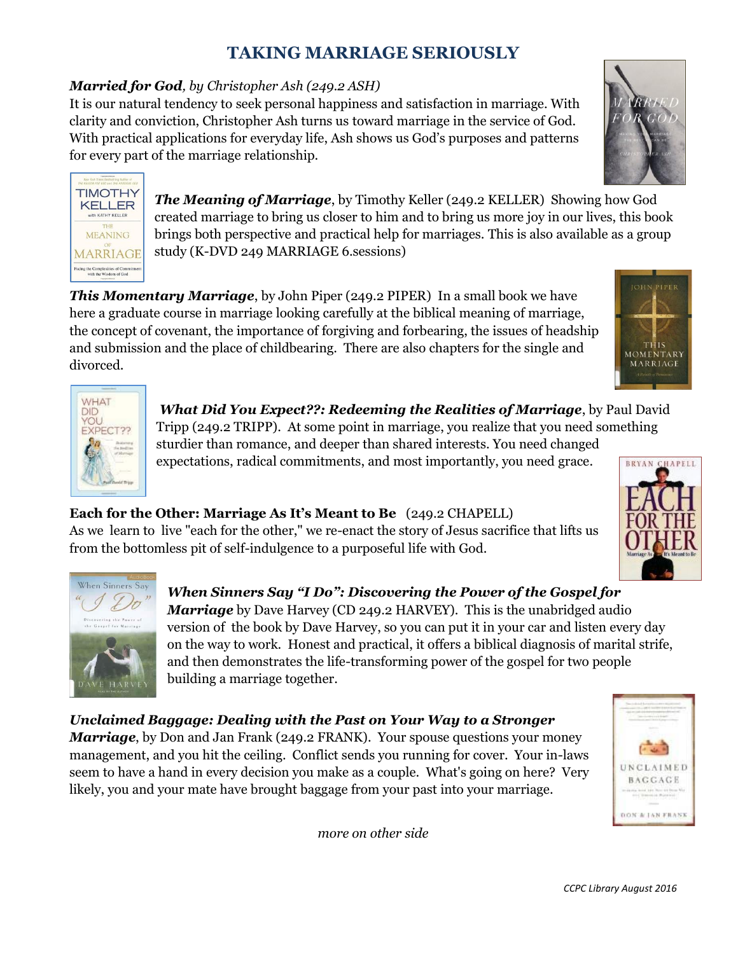# **TAKING MARRIAGE SERIOUSLY**

#### *Married for God, by Christopher Ash (249.2 ASH)*

It is our natural tendency to seek personal happiness and satisfaction in marriage. With clarity and conviction, Christopher Ash turns us toward marriage in the service of God. With practical applications for everyday life, Ash shows us God's purposes and patterns for every part of the marriage relationship.





*The Meaning of Marriage*, by Timothy Keller (249.2 KELLER) Showing how God created marriage to bring us closer to him and to bring us more joy in our lives, this book brings both perspective and practical help for marriages. This is also available as a group study (K-DVD 249 MARRIAGE 6.sessions)

*This Momentary Marriage*, by John Piper (249.2 PIPER) In a small book we have here a graduate course in marriage looking carefully at the biblical meaning of marriage, the concept of covenant, the importance of forgiving and forbearing, the issues of headship and submission and the place of childbearing. There are also chapters for the single and divorced.



 *What Did You Expect??: Redeeming the Realities of Marriage*, by Paul David Tripp (249.2 TRIPP). At some point in marriage, you realize that you need something sturdier than romance, and deeper than shared interests. You need changed expectations, radical commitments, and most importantly, you need grace.

## **Each for the Other: Marriage As It's Meant to Be** (249.2 CHAPELL)

As we learn to live "each for the other," we re-enact the story of Jesus sacrifice that lifts us from the bottomless pit of self-indulgence to a purposeful life with God.



*When Sinners Say "I Do": Discovering the Power of the Gospel for Marriage* by Dave Harvey (CD 249.2 HARVEY). This is the unabridged audio version of the book by Dave Harvey, so you can put it in your car and listen every day on the way to work. Honest and practical, it offers a biblical diagnosis of marital strife, and then demonstrates the life-transforming power of the gospel for two people building a marriage together.

*Unclaimed Baggage: Dealing with the Past on Your Way to a Stronger Marriage*, by Don and Jan Frank (249.2 FRANK). Your spouse questions your money management, and you hit the ceiling. Conflict sends you running for cover. Your in-laws seem to have a hand in every decision you make as a couple. What's going on here? Very

likely, you and your mate have brought baggage from your past into your marriage.

*more on other side* 



**MOMENTARY** MARRIAGE